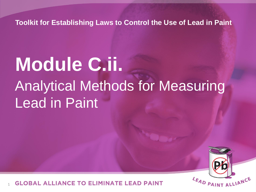**Toolkit for Establishing Laws to Control the Use of Lead in Paint**

# **Module C.ii.** Analytical Methods for Measuring Lead in Paint



OBAL ALLIANCE TO ELIMINATE LEAD PAINT 1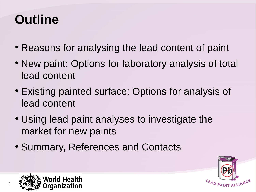## **Outline**

- Reasons for analysing the lead content of paint
- New paint: Options for laboratory analysis of total lead content
- Existing painted surface: Options for analysis of lead content
- Using lead paint analyses to investigate the market for new paints
- Summary, References and Contacts



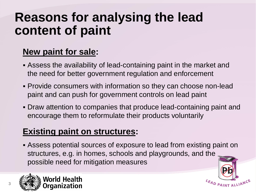#### **Reasons for analysing the lead content of paint**

#### **New paint for sale:**

- Assess the availability of lead-containing paint in the market and the need for better government regulation and enforcement
- Provide consumers with information so they can choose non-lead paint and can push for government controls on lead paint
- Draw attention to companies that produce lead-containing paint and encourage them to reformulate their products voluntarily

#### **Existing paint on structures:**

 Assess potential sources of exposure to lead from existing paint on structures, e.g. in homes, schools and playgrounds, and the possible need for mitigation measures





LEAD PAINT ALLIAN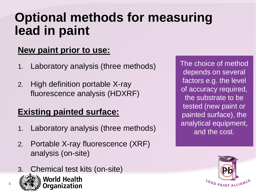#### **Optional methods for measuring lead in paint**

#### **New paint prior to use:**

- 1. Laboratory analysis (three methods)
- 2. High definition portable X-ray fluorescence analysis (HDXRF)

#### **Existing painted surface:**

- 1. Laboratory analysis (three methods)
- 2. Portable X-ray fluorescence (XRF) analysis (on-site)
- 3. Chemical test kits (on-site)



4



The choice of method depends on several factors e.g. the level of accuracy required, the substrate to be tested (new paint or painted surface), the analytical equipment, and the cost.

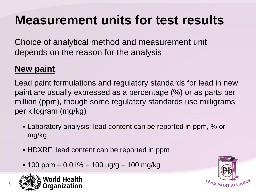### **Measurement units for test results**

Choice of analytical method and measurement unit depends on the reason for the analysis

#### **New paint**

Lead paint formulations and regulatory standards for lead in new paint are usually expressed as a percentage (%) or as parts per million (ppm), though some regulatory standards use milligrams per kilogram (mg/kg)

- Laboratory analysis: lead content can be reported in ppm, % or mg/kg
- HDXRF: lead content can be reported in ppm
- $\cdot$  100 ppm = 0.01% = 100  $\mu$ g/g = 100 mg/kg



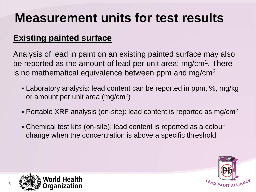## **Measurement units for test results**

#### **Existing painted surface**

Analysis of lead in paint on an existing painted surface may also be reported as the amount of lead per unit area: mg/cm<sup>2</sup>. There is no mathematical equivalence between ppm and mg/cm<sup>2</sup>

- Laboratory analysis: lead content can be reported in ppm, %, mg/kg or amount per unit area (mg/cm<sup>2</sup>)
- Portable XRF analysis (on-site): lead content is reported as  $mg/cm<sup>2</sup>$
- Chemical test kits (on-site): lead content is reported as a colour change when the concentration is above a specific threshold



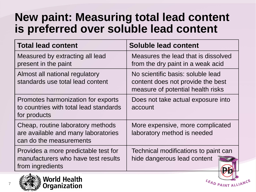#### **New paint: Measuring total lead content is preferred over soluble lead content**

| <b>Total lead content</b>                                                                           | <b>Soluble lead content</b>                                                                                 |
|-----------------------------------------------------------------------------------------------------|-------------------------------------------------------------------------------------------------------------|
| Measured by extracting all lead<br>present in the paint                                             | Measures the lead that is dissolved<br>from the dry paint in a weak acid                                    |
| Almost all national regulatory<br>standards use total lead content                                  | No scientific basis: soluble lead<br>content does not provide the best<br>measure of potential health risks |
| Promotes harmonization for exports<br>to countries with total lead standards<br>for products        | Does not take actual exposure into<br>account                                                               |
| Cheap, routine laboratory methods<br>are available and many laboratories<br>can do the measurements | More expensive, more complicated<br>laboratory method is needed                                             |
| Provides a more predictable test for<br>manufacturers who have test results<br>from ingredients     | Technical modifications to paint can<br>hide dangerous lead content                                         |



7

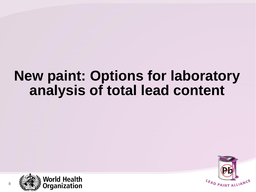#### **New paint: Options for laboratory analysis of total lead content**



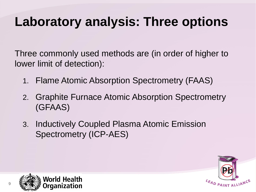### **Laboratory analysis: Three options**

Three commonly used methods are (in order of higher to lower limit of detection):

- 1. Flame Atomic Absorption Spectrometry (FAAS)
- 2. Graphite Furnace Atomic Absorption Spectrometry (GFAAS)
- 3. Inductively Coupled Plasma Atomic Emission Spectrometry (ICP-AES)



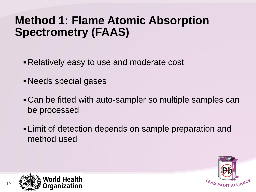#### **Method 1: Flame Atomic Absorption Spectrometry (FAAS)**

- Relatively easy to use and moderate cost
- Needs special gases
- Can be fitted with auto-sampler so multiple samples can be processed
- Limit of detection depends on sample preparation and method used



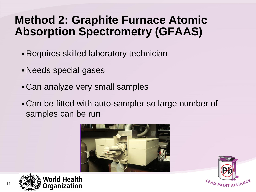#### **Method 2: Graphite Furnace Atomic Absorption Spectrometry (GFAAS)**

- Requires skilled laboratory technician
- Needs special gases
- Can analyze very small samples
- Can be fitted with auto-sampler so large number of samples can be run





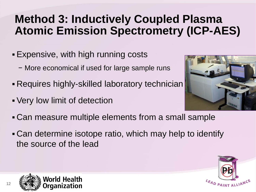#### **Method 3: Inductively Coupled Plasma Atomic Emission Spectrometry (ICP-AES)**

- Expensive, with high running costs
	- − More economical if used for large sample runs
- Requires highly-skilled laboratory technician
- Very low limit of detection



- Can measure multiple elements from a small sample
- Can determine isotope ratio, which may help to identify the source of the lead



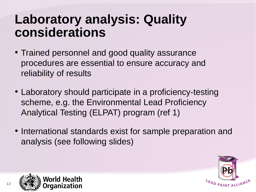#### **Laboratory analysis: Quality considerations**

- Trained personnel and good quality assurance procedures are essential to ensure accuracy and reliability of results
- Laboratory should participate in a proficiency-testing scheme, e.g. the Environmental Lead Proficiency Analytical Testing (ELPAT) program (ref 1)
- International standards exist for sample preparation and analysis (see following slides)



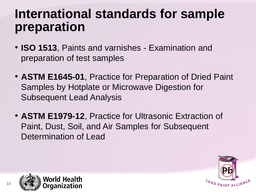#### **International standards for sample preparation**

- **ISO 1513**, Paints and varnishes Examination and preparation of test samples
- **ASTM E1645-01**, Practice for Preparation of Dried Paint Samples by Hotplate or Microwave Digestion for Subsequent Lead Analysis
- **ASTM E1979-12**, Practice for Ultrasonic Extraction of Paint, Dust, Soil, and Air Samples for Subsequent Determination of Lead



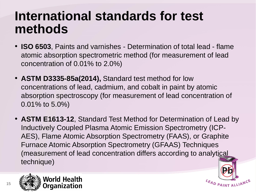#### **International standards for test methods**

- **ISO 6503**, Paints and varnishes Determination of total lead flame atomic absorption spectrometric method (for measurement of lead concentration of 0.01% to 2.0%)
- **ASTM D3335-85a(2014),** Standard test method for low concentrations of lead, cadmium, and cobalt in paint by atomic absorption spectroscopy (for measurement of lead concentration of 0.01% to 5.0%)
- **ASTM E1613-12**, Standard Test Method for Determination of Lead by Inductively Coupled Plasma Atomic Emission Spectrometry (ICP-AES), Flame Atomic Absorption Spectrometry (FAAS), or Graphite Furnace Atomic Absorption Spectrometry (GFAAS) Techniques (measurement of lead concentration differs according to analytical technique)

LEAD PAINT ALLIA





15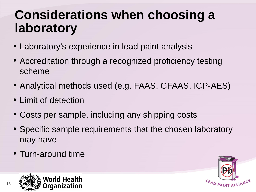## **Considerations when choosing a laboratory**

- Laboratory's experience in lead paint analysis
- Accreditation through a recognized proficiency testing scheme
- Analytical methods used (e.g. FAAS, GFAAS, ICP-AES)
- Limit of detection
- Costs per sample, including any shipping costs
- Specific sample requirements that the chosen laboratory may have
- Turn-around time



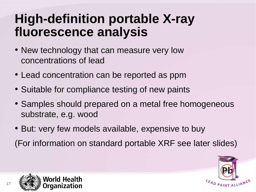#### **High-definition portable X-ray fluorescence analysis**

- New technology that can measure very low concentrations of lead
- Lead concentration can be reported as ppm
- Suitable for compliance testing of new paints
- Samples should prepared on a metal free homogeneous substrate, e.g. wood
- But: very few models available, expensive to buy (For information on standard portable XRF see later slides)



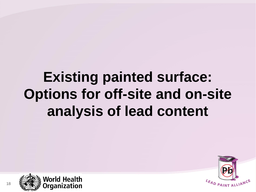## **Existing painted surface: Options for off-site and on-site analysis of lead content**



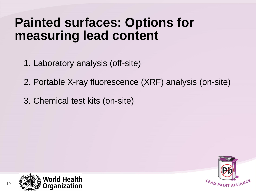#### **Painted surfaces: Options for measuring lead content**

1. Laboratory analysis (off-site)

2. Portable X-ray fluorescence (XRF) analysis (on-site)

3. Chemical test kits (on-site)



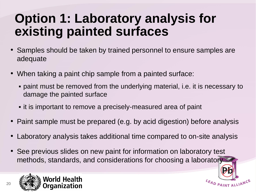#### **Option 1: Laboratory analysis for existing painted surfaces**

- Samples should be taken by trained personnel to ensure samples are adequate
- When taking a paint chip sample from a painted surface:
	- paint must be removed from the underlying material, i.e. it is necessary to damage the painted surface
	- **.** it is important to remove a precisely-measured area of paint
- Paint sample must be prepared (e.g. by acid digestion) before analysis
- Laboratory analysis takes additional time compared to on-site analysis

LEAD PAINT ALLIANCE

• See previous slides on new paint for information on laboratory test methods, standards, and considerations for choosing a laboratory

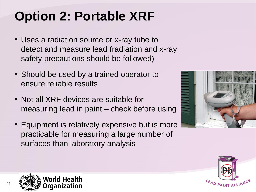## **Option 2: Portable XRF**

- Uses a radiation source or x-ray tube to detect and measure lead (radiation and x-ray safety precautions should be followed)
- Should be used by a trained operator to ensure reliable results
- Not all XRF devices are suitable for measuring lead in paint – check before using
- Equipment is relatively expensive but is more practicable for measuring a large number of surfaces than laboratory analysis





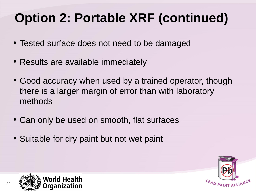## **Option 2: Portable XRF (continued)**

- Tested surface does not need to be damaged
- Results are available immediately
- Good accuracy when used by a trained operator, though there is a larger margin of error than with laboratory methods
- Can only be used on smooth, flat surfaces
- Suitable for dry paint but not wet paint



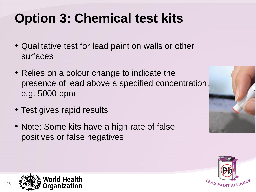## **Option 3: Chemical test kits**

- Qualitative test for lead paint on walls or other surfaces
- Relies on a colour change to indicate the presence of lead above a specified concentration, e.g. 5000 ppm
- Test gives rapid results
- Note: Some kits have a high rate of false positives or false negatives





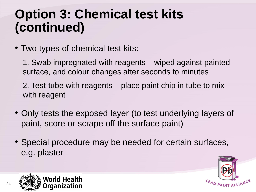### **Option 3: Chemical test kits (continued)**

- Two types of chemical test kits:
	- 1. Swab impregnated with reagents wiped against painted surface, and colour changes after seconds to minutes
	- 2. Test-tube with reagents place paint chip in tube to mix with reagent
- Only tests the exposed layer (to test underlying layers of paint, score or scrape off the surface paint)
- Special procedure may be needed for certain surfaces, e.g. plaster



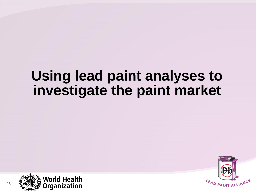### **Using lead paint analyses to investigate the paint market**



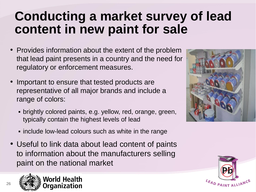#### **Conducting a market survey of lead content in new paint for sale**

- Provides information about the extent of the problem that lead paint presents in a country and the need for regulatory or enforcement measures.
- Important to ensure that tested products are representative of all major brands and include a range of colors:
	- brightly colored paints, e.g. yellow, red, orange, green, typically contain the highest levels of lead
	- **Example include low-lead colours such as white in the range**
- Useful to link data about lead content of paints to information about the manufacturers selling paint on the national market





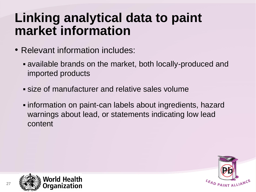#### **Linking analytical data to paint market information**

- Relevant information includes:
	- available brands on the market, both locally-produced and imported products
	- size of manufacturer and relative sales volume
	- information on paint-can labels about ingredients, hazard warnings about lead, or statements indicating low lead content



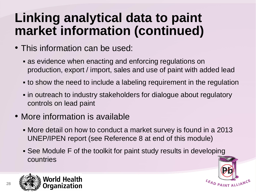### **Linking analytical data to paint market information (continued)**

- This information can be used:
	- as evidence when enacting and enforcing regulations on production, export / import, sales and use of paint with added lead
	- to show the need to include a labeling requirement in the regulation
	- **Fin outreach to industry stakeholders for dialogue about regulatory** controls on lead paint
- More information is available
	- More detail on how to conduct a market survey is found in a 2013 UNEP/IPEN report (see Reference 8 at end of this module)
	- See Module F of the toolkit for paint study results in developing countries



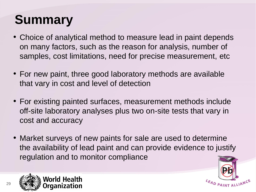## **Summary**

- Choice of analytical method to measure lead in paint depends on many factors, such as the reason for analysis, number of samples, cost limitations, need for precise measurement, etc
- For new paint, three good laboratory methods are available that vary in cost and level of detection
- For existing painted surfaces, measurement methods include off-site laboratory analyses plus two on-site tests that vary in cost and accuracy
- Market surveys of new paints for sale are used to determine the availability of lead paint and can provide evidence to justify regulation and to monitor compliance



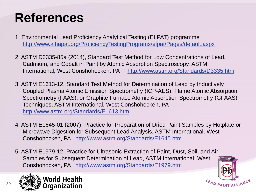## **References**

- 1. Environmental Lead Proficiency Analytical Testing (ELPAT) programme <http://www.aihapat.org/ProficiencyTestingPrograms/elpat/Pages/default.aspx>
- 2. ASTM D3335-85a (2014), Standard Test Method for Low Concentrations of Lead, Cadmium, and Cobalt in Paint by Atomic Absorption Spectroscopy, ASTM International, West Conshohocken, PA <http://www.astm.org/Standards/D3335.htm>
- 3. ASTM E1613-12, Standard Test Method for Determination of Lead by Inductively Coupled Plasma Atomic Emission Spectrometry (ICP-AES), Flame Atomic Absorption Spectrometry (FAAS), or Graphite Furnace Atomic Absorption Spectrometry (GFAAS) Techniques, ASTM International, West Conshohocken, PA <http://www.astm.org/Standards/E1613.htm>
- 4. ASTM E1645-01 (2007), Practice for Preparation of Dried Paint Samples by Hotplate or Microwave Digestion for Subsequent Lead Analysis, ASTM International, West Conshohocken, PA <http://www.astm.org/Standards/E1645.htm>
- 5. ASTM E1979-12, Practice for Ultrasonic Extraction of Paint, Dust, Soil, and Air Samples for Subsequent Determination of Lead, ASTM International, West Conshohocken, PA <http://www.astm.org/Standards/E1979.htm>



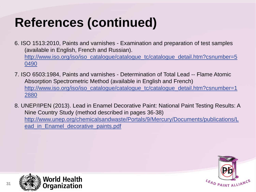## **References (continued)**

- 6. ISO 1513:2010, Paints and varnishes Examination and preparation of test samples (available in English, French and Russian). [http://www.iso.org/iso/iso\\_catalogue/catalogue\\_tc/catalogue\\_detail.htm?csnumber=5](http://www.iso.org/iso/iso_catalogue/catalogue_tc/catalogue_detail.htm?csnumber=50490) [0490](http://www.iso.org/iso/iso_catalogue/catalogue_tc/catalogue_detail.htm?csnumber=50490)
- 7. ISO 6503:1984, Paints and varnishes Determination of Total Lead -- Flame Atomic Absorption Spectrometric Method (available in English and French) [http://www.iso.org/iso/iso\\_catalogue/catalogue\\_tc/catalogue\\_detail.htm?csnumber=1](http://www.iso.org/iso/iso_catalogue/catalogue_tc/catalogue_detail.htm?csnumber=12880) [2880](http://www.iso.org/iso/iso_catalogue/catalogue_tc/catalogue_detail.htm?csnumber=12880)
- 8. UNEP/IPEN (2013). Lead in Enamel Decorative Paint: National Paint Testing Results: A Nine Country Study (method described in pages 36-38) [http://www.unep.org/chemicalsandwaste/Portals/9/Mercury/Documents/publications/L](http://www.unep.org/chemicalsandwaste/Portals/9/Mercury/Documents/publications/Lead_in_Enamel_decorative_paints.pdf) ead in Enamel decorative paints.pdf



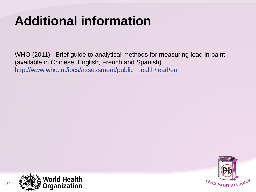## **Additional information**

WHO (2011). Brief guide to analytical methods for measuring lead in paint (available in Chinese, English, French and Spanish) [http://www.who.int/ipcs/assessment/public\\_health/lead/en](http://www.who.int/ipcs/assessment/public_health/lead/en)



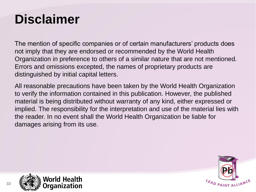### **Disclaimer**

The mention of specific companies or of certain manufacturers' products does not imply that they are endorsed or recommended by the World Health Organization in preference to others of a similar nature that are not mentioned. Errors and omissions excepted, the names of proprietary products are distinguished by initial capital letters.

All reasonable precautions have been taken by the World Health Organization to verify the information contained in this publication. However, the published material is being distributed without warranty of any kind, either expressed or implied. The responsibility for the interpretation and use of the material lies with the reader. In no event shall the World Health Organization be liable for damages arising from its use.